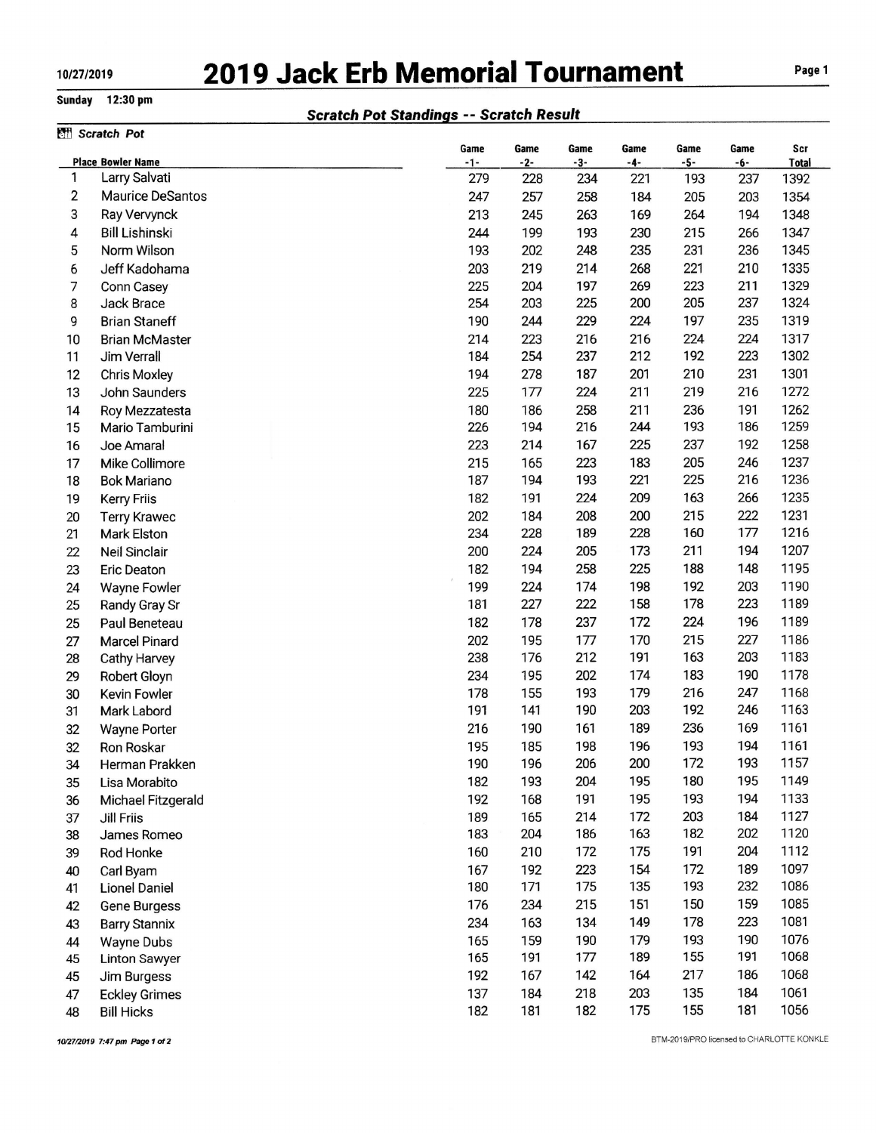## 10/27/2019 2019 Jack Erb Memorial Tournament Page 1

## Sunday 12:30 pm

## Scratch Pot Standings -- Scratch Result

|                | Scratch Pot                             |             |             |             |             |               |             |              |
|----------------|-----------------------------------------|-------------|-------------|-------------|-------------|---------------|-------------|--------------|
|                | <b>Place Bowler Name</b>                | Game<br>-1- | Game<br>-2- | Game<br>-3- | Game<br>-4- | Game<br>$-5-$ | Game<br>-6- | Scr<br>Total |
| 1              | Larry Salvati                           | 279         | 228         | 234         | 221         | 193           | 237         | 1392         |
| $\overline{c}$ | <b>Maurice DeSantos</b>                 | 247         | 257         | 258         | 184         | 205           | 203         | 1354         |
| 3              | Ray Vervynck                            | 213         | 245         | 263         | 169         | 264           | 194         | 1348         |
| 4              | <b>Bill Lishinski</b>                   | 244         | 199         | 193         | 230         | 215           | 266         | 1347         |
| 5              | Norm Wilson                             | 193         | 202         | 248         | 235         | 231           | 236         | 1345         |
| 6              | Jeff Kadohama                           | 203         | 219         | 214         | 268         | 221           | 210         | 1335         |
| 7              | Conn Casey                              | 225         | 204         | 197         | 269         | 223           | 211         | 1329         |
| 8              | Jack Brace                              | 254         | 203         | 225         | 200         | 205           | 237         | 1324         |
| 9              | <b>Brian Staneff</b>                    | 190         | 244         | 229         | 224         | 197           | 235         | 1319         |
| 10             | <b>Brian McMaster</b>                   | 214         | 223         | 216         | 216         | 224           | 224         | 1317         |
| 11             | Jim Verrall                             | 184         | 254         | 237         | 212         | 192           | 223         | 1302         |
| 12             | <b>Chris Moxley</b>                     | 194         | 278         | 187         | 201         | 210           | 231         | 1301         |
| 13             | John Saunders                           | 225         | 177         | 224         | 211         | 219           | 216         | 1272         |
| 14             | Roy Mezzatesta                          | 180         | 186         | 258         | 211         | 236           | 191         | 1262         |
| 15             | Mario Tamburini                         | 226         | 194         | 216         | 244         | 193           | 186         | 1259         |
| 16             | Joe Amaral                              | 223         | 214         | 167         | 225         | 237           | 192         | 1258         |
| 17             | Mike Collimore                          | 215         | 165         | 223         | 183         | 205           | 246         | 1237         |
| 18             | <b>Bok Mariano</b>                      | 187         | 194         | 193         | 221         | 225           | 216         | 1236         |
| 19             | <b>Kerry Friis</b>                      | 182         | 191         | 224         | 209         | 163           | 266         | 1235         |
| 20             | <b>Terry Krawec</b>                     | 202         | 184         | 208         | 200         | 215           | 222         | 1231         |
| 21             | Mark Elston                             | 234         | 228         | 189         | 228         | 160           | 177         | 1216         |
| 22             | Neil Sinclair                           | 200         | 224         | 205         | 173         | 211           | 194         | 1207         |
| 23             | <b>Eric Deaton</b>                      | 182         | 194         | 258         | 225         | 188           | 148         | 1195         |
| 24             | <b>Wayne Fowler</b>                     | 199         | 224         | 174         | 198         | 192           | 203         | 1190         |
| 25             | Randy Gray Sr                           | 181         | 227         | 222         | 158         | 178           | 223         | 1189         |
| 25             | Paul Beneteau                           | 182         | 178         | 237         | 172         | 224           | 196         | 1189         |
| 27             | <b>Marcel Pinard</b>                    | 202         | 195         | 177         | 170         | 215           | 227         | 1186         |
| 28             | Cathy Harvey                            | 238         | 176         | 212         | 191         | 163           | 203         | 1183         |
| 29             |                                         | 234         | 195         | 202         | 174         | 183           | 190         | 1178         |
| 30             | Robert Gloyn<br>Kevin Fowler            | 178         | 155         | 193         | 179         | 216           | 247         | 1168         |
| 31             | Mark Labord                             | 191         | 141         | 190         | 203         | 192           | 246         | 1163         |
| 32             |                                         | 216         | 190         | 161         | 189         | 236           | 169         | 1161         |
|                | <b>Wayne Porter</b>                     | 195         | 185         | 198         | 196         | 193           | 194         | 1161         |
| 32<br>34       | Ron Roskar<br>Herman Prakken            | 190         | 196         | 206         | 200         | 172           | 193         | 1157         |
|                | Lisa Morabito                           | 182         | 193         | 204         | 195         | 180           | 195         | 1149         |
| 35<br>36       |                                         | 192         | 168         | 191         | 195         | 193           | 194         | 1133         |
|                | Michael Fitzgerald<br><b>Jill Friis</b> | 189         | 165         | 214         | 172         | 203           | 184         | 1127         |
| 37<br>38       | James Romeo                             | 183         | 204         | 186         | 163         | 182           | 202         | 1120         |
| 39             | Rod Honke                               | 160         | 210         | 172         | 175         | 191           | 204         | 1112         |
|                |                                         | 167         | 192         | 223         | 154         | 172           | 189         | 1097         |
| 40             | Carl Byam                               | 180         | 171         | 175         | 135         | 193           | 232         | 1086         |
| 41             | Lionel Daniel                           | 176         | 234         | 215         | 151         | 150           | 159         | 1085         |
| 42             | Gene Burgess                            |             |             |             |             | 178           | 223         | 1081         |
| 43             | <b>Barry Stannix</b>                    | 234         | 163         | 134         | 149<br>179  | 193           | 190         | 1076         |
| 44             | <b>Wayne Dubs</b>                       | 165<br>165  | 159<br>191  | 190<br>177  | 189         | 155           | 191         | 1068         |
| 45             | <b>Linton Sawyer</b>                    |             |             | 142         |             | 217           | 186         | 1068         |
| 45             | Jim Burgess                             | 192         | 167         |             | 164         |               | 184         |              |
| 47             | <b>Eckley Grimes</b>                    | 137         | 184         | 218         | 203<br>175  | 135<br>155    | 181         | 1061<br>1056 |
| 48             | <b>Bill Hicks</b>                       | 182         | 181         | 182         |             |               |             |              |

10/27/2019 7:47 pm Page 1 of 2

BTM-2019/PRO licensed to CHARLOTTE KONKLE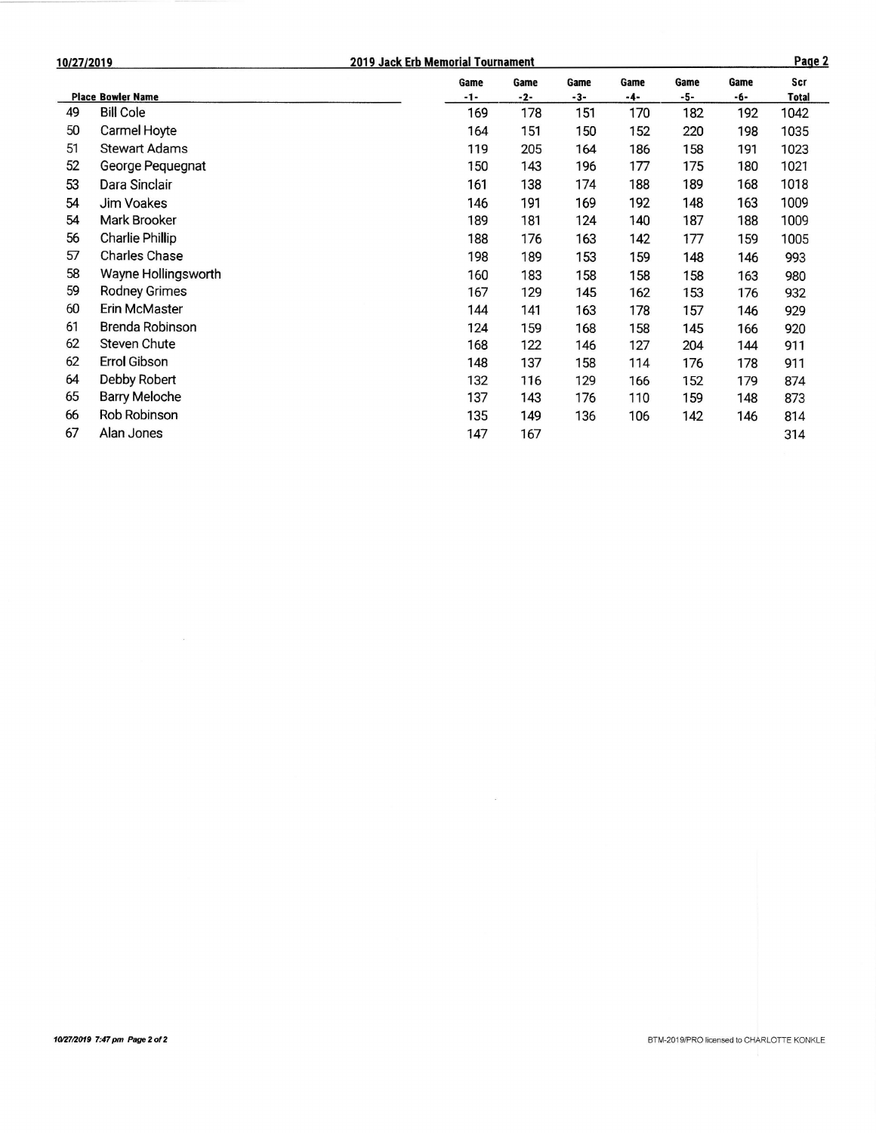| 10/27/2019 |                          |             | 2019 Jack Erb Memorial Tournament |               |             |             | Page 2      |                     |  |
|------------|--------------------------|-------------|-----------------------------------|---------------|-------------|-------------|-------------|---------------------|--|
|            | <b>Place Bowler Name</b> | Game<br>-1- | Game<br>$-2-$                     | Game<br>$-3-$ | Game<br>-4- | Game<br>-5- | Game<br>-6- | Scr<br><b>Total</b> |  |
| 49         | <b>Bill Cole</b>         | 169         | 178                               | 151           | 170         | 182         | 192         | 1042                |  |
| 50         | Carmel Hoyte             | 164         | 151                               | 150           | 152         | 220         | 198         | 1035                |  |
| 51         | <b>Stewart Adams</b>     | 119         | 205                               | 164           | 186         | 158         | 191         | 1023                |  |
| 52         | George Pequegnat         | 150         | 143                               | 196           | 177         | 175         | 180         | 1021                |  |
| 53         | Dara Sinclair            | 161         | 138                               | 174           | 188         | 189         | 168         | 1018                |  |
| 54         | Jim Voakes               | 146         | 191                               | 169           | 192         | 148         | 163         | 1009                |  |
| 54         | Mark Brooker             | 189         | 181                               | 124           | 140         | 187         | 188         | 1009                |  |
| 56         | <b>Charlie Phillip</b>   | 188         | 176                               | 163           | 142         | 177         | 159         | 1005                |  |
| 57         | <b>Charles Chase</b>     | 198         | 189                               | 153           | 159         | 148         | 146         | 993                 |  |
| 58         | Wayne Hollingsworth      | 160         | 183                               | 158           | 158         | 158         | 163         | 980                 |  |
| 59         | <b>Rodney Grimes</b>     | 167         | 129                               | 145           | 162         | 153         | 176         | 932                 |  |
| 60         | Erin McMaster            | 144         | 141                               | 163           | 178         | 157         | 146         | 929                 |  |
| 61         | Brenda Robinson          | 124         | 159                               | 168           | 158         | 145         | 166         | 920                 |  |
| 62         | Steven Chute             | 168         | 122                               | 146           | 127         | 204         | 144         | 911                 |  |
| 62         | Errol Gibson             | 148         | 137                               | 158           | 114         | 176         | 178         | 911                 |  |
| 64         | Debby Robert             | 132         | 116                               | 129           | 166         | 152         | 179         | 874                 |  |
| 65         | <b>Barry Meloche</b>     | 137         | 143                               | 176           | 110         | 159         | 148         | 873                 |  |
| 66         | Rob Robinson             | 135         | 149                               | 136           | 106         | 142         | 146         | 814                 |  |
| 67         | Alan Jones               | 147         | 167                               |               |             |             |             | 314                 |  |

 $\label{eq:3.1} \mathcal{Q} = \mathcal{Q} \left( \mathcal{Q} \right) \mathcal{Q} \left( \mathcal{Q} \right)$ 

 $\sim 10$